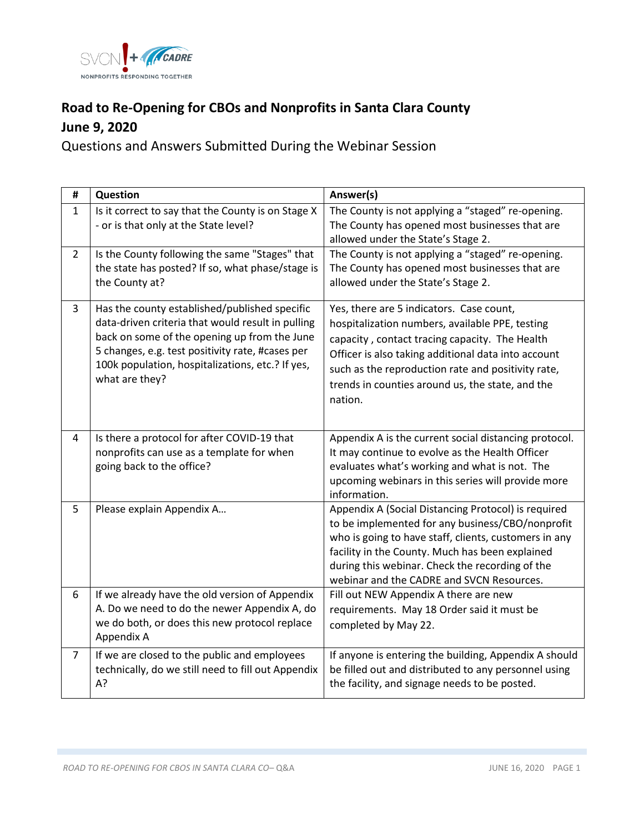

## **Road to Re-Opening for CBOs and Nonprofits in Santa Clara County June 9, 2020**

Questions and Answers Submitted During the Webinar Session

| #              | Question                                                                                                                                                                                                                                                                     | Answer(s)                                                                                                                                                                                                                                                                                                                 |
|----------------|------------------------------------------------------------------------------------------------------------------------------------------------------------------------------------------------------------------------------------------------------------------------------|---------------------------------------------------------------------------------------------------------------------------------------------------------------------------------------------------------------------------------------------------------------------------------------------------------------------------|
| $\mathbf{1}$   | Is it correct to say that the County is on Stage X<br>- or is that only at the State level?                                                                                                                                                                                  | The County is not applying a "staged" re-opening.<br>The County has opened most businesses that are<br>allowed under the State's Stage 2.                                                                                                                                                                                 |
| $\overline{2}$ | Is the County following the same "Stages" that<br>the state has posted? If so, what phase/stage is<br>the County at?                                                                                                                                                         | The County is not applying a "staged" re-opening.<br>The County has opened most businesses that are<br>allowed under the State's Stage 2.                                                                                                                                                                                 |
| 3              | Has the county established/published specific<br>data-driven criteria that would result in pulling<br>back on some of the opening up from the June<br>5 changes, e.g. test positivity rate, #cases per<br>100k population, hospitalizations, etc.? If yes,<br>what are they? | Yes, there are 5 indicators. Case count,<br>hospitalization numbers, available PPE, testing<br>capacity, contact tracing capacity. The Health<br>Officer is also taking additional data into account<br>such as the reproduction rate and positivity rate,<br>trends in counties around us, the state, and the<br>nation. |
| 4              | Is there a protocol for after COVID-19 that<br>nonprofits can use as a template for when<br>going back to the office?                                                                                                                                                        | Appendix A is the current social distancing protocol.<br>It may continue to evolve as the Health Officer<br>evaluates what's working and what is not. The<br>upcoming webinars in this series will provide more<br>information.                                                                                           |
| 5              | Please explain Appendix A                                                                                                                                                                                                                                                    | Appendix A (Social Distancing Protocol) is required<br>to be implemented for any business/CBO/nonprofit<br>who is going to have staff, clients, customers in any<br>facility in the County. Much has been explained<br>during this webinar. Check the recording of the<br>webinar and the CADRE and SVCN Resources.       |
| 6              | If we already have the old version of Appendix<br>A. Do we need to do the newer Appendix A, do<br>we do both, or does this new protocol replace<br>Appendix A                                                                                                                | Fill out NEW Appendix A there are new<br>requirements. May 18 Order said it must be<br>completed by May 22.                                                                                                                                                                                                               |
| $\overline{7}$ | If we are closed to the public and employees<br>technically, do we still need to fill out Appendix<br>A?                                                                                                                                                                     | If anyone is entering the building, Appendix A should<br>be filled out and distributed to any personnel using<br>the facility, and signage needs to be posted.                                                                                                                                                            |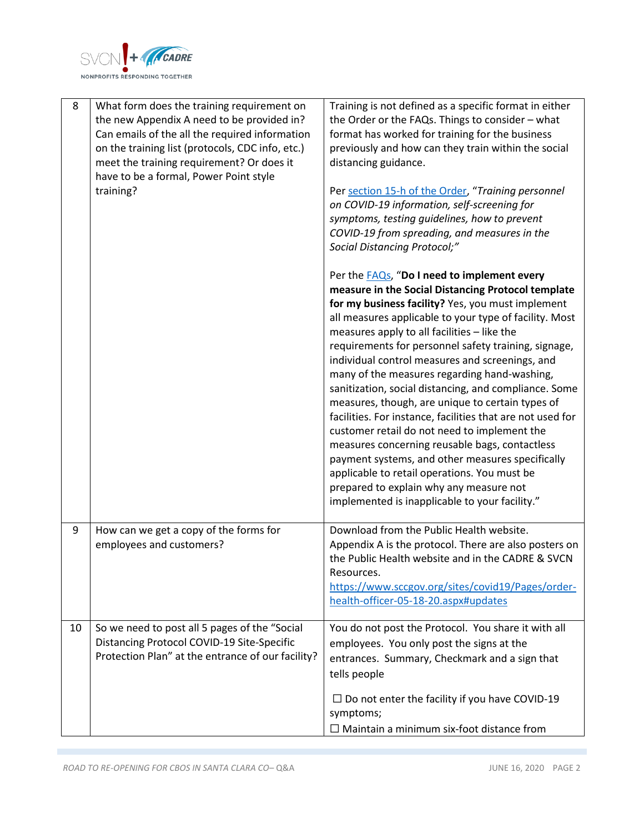

| 8  | What form does the training requirement on<br>the new Appendix A need to be provided in?<br>Can emails of the all the required information<br>on the training list (protocols, CDC info, etc.)<br>meet the training requirement? Or does it<br>have to be a formal, Power Point style<br>training? | Training is not defined as a specific format in either<br>the Order or the FAQs. Things to consider - what<br>format has worked for training for the business<br>previously and how can they train within the social<br>distancing guidance.<br>Per section 15-h of the Order, "Training personnel<br>on COVID-19 information, self-screening for<br>symptoms, testing guidelines, how to prevent<br>COVID-19 from spreading, and measures in the<br>Social Distancing Protocol;"                                                                                                                                                                                                                                                                                                                                                                                                                                |
|----|----------------------------------------------------------------------------------------------------------------------------------------------------------------------------------------------------------------------------------------------------------------------------------------------------|------------------------------------------------------------------------------------------------------------------------------------------------------------------------------------------------------------------------------------------------------------------------------------------------------------------------------------------------------------------------------------------------------------------------------------------------------------------------------------------------------------------------------------------------------------------------------------------------------------------------------------------------------------------------------------------------------------------------------------------------------------------------------------------------------------------------------------------------------------------------------------------------------------------|
|    |                                                                                                                                                                                                                                                                                                    | Per the <b>FAQs</b> , "Do I need to implement every<br>measure in the Social Distancing Protocol template<br>for my business facility? Yes, you must implement<br>all measures applicable to your type of facility. Most<br>measures apply to all facilities - like the<br>requirements for personnel safety training, signage,<br>individual control measures and screenings, and<br>many of the measures regarding hand-washing,<br>sanitization, social distancing, and compliance. Some<br>measures, though, are unique to certain types of<br>facilities. For instance, facilities that are not used for<br>customer retail do not need to implement the<br>measures concerning reusable bags, contactless<br>payment systems, and other measures specifically<br>applicable to retail operations. You must be<br>prepared to explain why any measure not<br>implemented is inapplicable to your facility." |
| 9  | How can we get a copy of the forms for<br>employees and customers?                                                                                                                                                                                                                                 | Download from the Public Health website.<br>Appendix A is the protocol. There are also posters on<br>the Public Health website and in the CADRE & SVCN<br>Resources.<br>https://www.sccgov.org/sites/covid19/Pages/order-<br>health-officer-05-18-20.aspx#updates                                                                                                                                                                                                                                                                                                                                                                                                                                                                                                                                                                                                                                                |
| 10 | So we need to post all 5 pages of the "Social<br>Distancing Protocol COVID-19 Site-Specific<br>Protection Plan" at the entrance of our facility?                                                                                                                                                   | You do not post the Protocol. You share it with all<br>employees. You only post the signs at the<br>entrances. Summary, Checkmark and a sign that<br>tells people                                                                                                                                                                                                                                                                                                                                                                                                                                                                                                                                                                                                                                                                                                                                                |
|    |                                                                                                                                                                                                                                                                                                    | $\Box$ Do not enter the facility if you have COVID-19<br>symptoms;<br>$\Box$ Maintain a minimum six-foot distance from                                                                                                                                                                                                                                                                                                                                                                                                                                                                                                                                                                                                                                                                                                                                                                                           |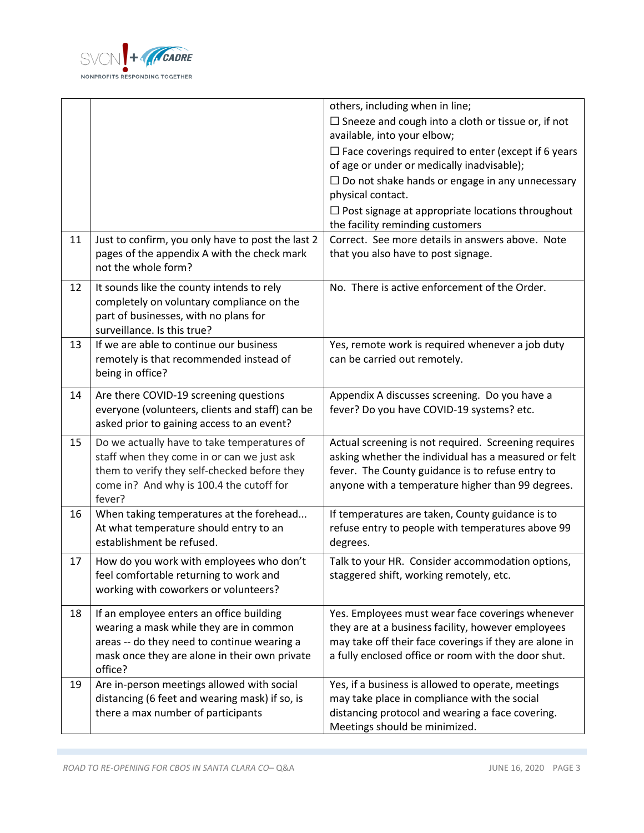

|    |                                                                                                                                                                                                 | others, including when in line;<br>$\Box$ Sneeze and cough into a cloth or tissue or, if not<br>available, into your elbow;<br>$\Box$ Face coverings required to enter (except if 6 years<br>of age or under or medically inadvisable);<br>$\Box$ Do not shake hands or engage in any unnecessary<br>physical contact. |
|----|-------------------------------------------------------------------------------------------------------------------------------------------------------------------------------------------------|------------------------------------------------------------------------------------------------------------------------------------------------------------------------------------------------------------------------------------------------------------------------------------------------------------------------|
|    |                                                                                                                                                                                                 | $\Box$ Post signage at appropriate locations throughout<br>the facility reminding customers                                                                                                                                                                                                                            |
| 11 | Just to confirm, you only have to post the last 2<br>pages of the appendix A with the check mark<br>not the whole form?                                                                         | Correct. See more details in answers above. Note<br>that you also have to post signage.                                                                                                                                                                                                                                |
| 12 | It sounds like the county intends to rely<br>completely on voluntary compliance on the<br>part of businesses, with no plans for<br>surveillance. Is this true?                                  | No. There is active enforcement of the Order.                                                                                                                                                                                                                                                                          |
| 13 | If we are able to continue our business<br>remotely is that recommended instead of<br>being in office?                                                                                          | Yes, remote work is required whenever a job duty<br>can be carried out remotely.                                                                                                                                                                                                                                       |
| 14 | Are there COVID-19 screening questions<br>everyone (volunteers, clients and staff) can be<br>asked prior to gaining access to an event?                                                         | Appendix A discusses screening. Do you have a<br>fever? Do you have COVID-19 systems? etc.                                                                                                                                                                                                                             |
| 15 | Do we actually have to take temperatures of<br>staff when they come in or can we just ask<br>them to verify they self-checked before they<br>come in? And why is 100.4 the cutoff for<br>fever? | Actual screening is not required. Screening requires<br>asking whether the individual has a measured or felt<br>fever. The County guidance is to refuse entry to<br>anyone with a temperature higher than 99 degrees.                                                                                                  |
| 16 | When taking temperatures at the forehead<br>At what temperature should entry to an<br>establishment be refused.                                                                                 | If temperatures are taken, County guidance is to<br>refuse entry to people with temperatures above 99<br>degrees.                                                                                                                                                                                                      |
| 17 | How do you work with employees who don't<br>feel comfortable returning to work and<br>working with coworkers or volunteers?                                                                     | Talk to your HR. Consider accommodation options,<br>staggered shift, working remotely, etc.                                                                                                                                                                                                                            |
| 18 | If an employee enters an office building<br>wearing a mask while they are in common<br>areas -- do they need to continue wearing a<br>mask once they are alone in their own private<br>office?  | Yes. Employees must wear face coverings whenever<br>they are at a business facility, however employees<br>may take off their face coverings if they are alone in<br>a fully enclosed office or room with the door shut.                                                                                                |
| 19 | Are in-person meetings allowed with social<br>distancing (6 feet and wearing mask) if so, is<br>there a max number of participants                                                              | Yes, if a business is allowed to operate, meetings<br>may take place in compliance with the social<br>distancing protocol and wearing a face covering.<br>Meetings should be minimized.                                                                                                                                |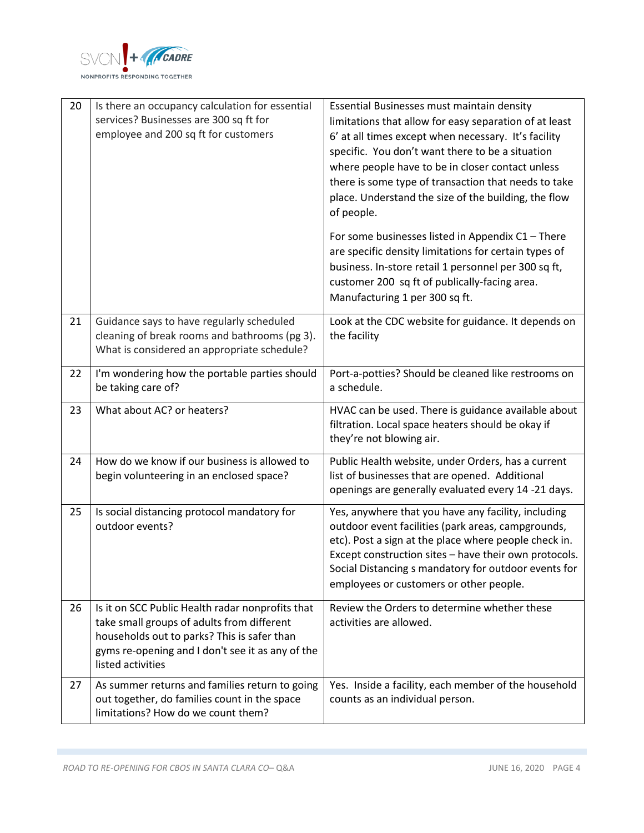

| 20 | Is there an occupancy calculation for essential<br>services? Businesses are 300 sq ft for<br>employee and 200 sq ft for customers                                                                                      | Essential Businesses must maintain density<br>limitations that allow for easy separation of at least<br>6' at all times except when necessary. It's facility<br>specific. You don't want there to be a situation<br>where people have to be in closer contact unless<br>there is some type of transaction that needs to take<br>place. Understand the size of the building, the flow<br>of people. |
|----|------------------------------------------------------------------------------------------------------------------------------------------------------------------------------------------------------------------------|----------------------------------------------------------------------------------------------------------------------------------------------------------------------------------------------------------------------------------------------------------------------------------------------------------------------------------------------------------------------------------------------------|
|    |                                                                                                                                                                                                                        | For some businesses listed in Appendix C1 - There<br>are specific density limitations for certain types of<br>business. In-store retail 1 personnel per 300 sq ft,<br>customer 200 sq ft of publically-facing area.<br>Manufacturing 1 per 300 sq ft.                                                                                                                                              |
| 21 | Guidance says to have regularly scheduled<br>cleaning of break rooms and bathrooms (pg 3).<br>What is considered an appropriate schedule?                                                                              | Look at the CDC website for guidance. It depends on<br>the facility                                                                                                                                                                                                                                                                                                                                |
| 22 | I'm wondering how the portable parties should<br>be taking care of?                                                                                                                                                    | Port-a-potties? Should be cleaned like restrooms on<br>a schedule.                                                                                                                                                                                                                                                                                                                                 |
| 23 | What about AC? or heaters?                                                                                                                                                                                             | HVAC can be used. There is guidance available about<br>filtration. Local space heaters should be okay if<br>they're not blowing air.                                                                                                                                                                                                                                                               |
| 24 | How do we know if our business is allowed to<br>begin volunteering in an enclosed space?                                                                                                                               | Public Health website, under Orders, has a current<br>list of businesses that are opened. Additional<br>openings are generally evaluated every 14 -21 days.                                                                                                                                                                                                                                        |
| 25 | Is social distancing protocol mandatory for<br>outdoor events?                                                                                                                                                         | Yes, anywhere that you have any facility, including<br>outdoor event facilities (park areas, campgrounds,<br>etc). Post a sign at the place where people check in.<br>Except construction sites - have their own protocols.<br>Social Distancing s mandatory for outdoor events for<br>employees or customers or other people.                                                                     |
| 26 | Is it on SCC Public Health radar nonprofits that<br>take small groups of adults from different<br>households out to parks? This is safer than<br>gyms re-opening and I don't see it as any of the<br>listed activities | Review the Orders to determine whether these<br>activities are allowed.                                                                                                                                                                                                                                                                                                                            |
| 27 | As summer returns and families return to going<br>out together, do families count in the space<br>limitations? How do we count them?                                                                                   | Yes. Inside a facility, each member of the household<br>counts as an individual person.                                                                                                                                                                                                                                                                                                            |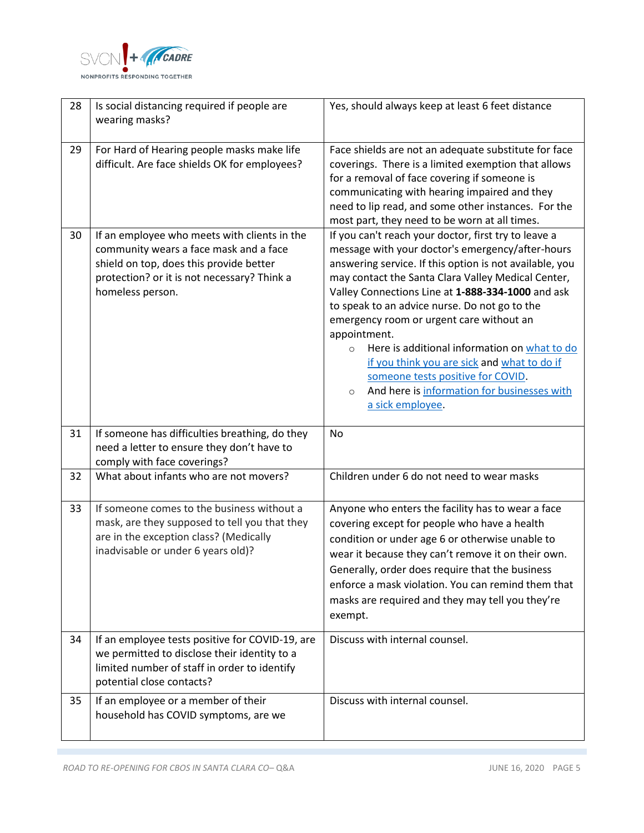

| 28 | Is social distancing required if people are<br>wearing masks?                                                                                                                                        | Yes, should always keep at least 6 feet distance                                                                                                                                                                                                                                                                                                                                                                                                                                                                                                                                                                         |
|----|------------------------------------------------------------------------------------------------------------------------------------------------------------------------------------------------------|--------------------------------------------------------------------------------------------------------------------------------------------------------------------------------------------------------------------------------------------------------------------------------------------------------------------------------------------------------------------------------------------------------------------------------------------------------------------------------------------------------------------------------------------------------------------------------------------------------------------------|
| 29 | For Hard of Hearing people masks make life<br>difficult. Are face shields OK for employees?                                                                                                          | Face shields are not an adequate substitute for face<br>coverings. There is a limited exemption that allows<br>for a removal of face covering if someone is<br>communicating with hearing impaired and they<br>need to lip read, and some other instances. For the<br>most part, they need to be worn at all times.                                                                                                                                                                                                                                                                                                      |
| 30 | If an employee who meets with clients in the<br>community wears a face mask and a face<br>shield on top, does this provide better<br>protection? or it is not necessary? Think a<br>homeless person. | If you can't reach your doctor, first try to leave a<br>message with your doctor's emergency/after-hours<br>answering service. If this option is not available, you<br>may contact the Santa Clara Valley Medical Center,<br>Valley Connections Line at 1-888-334-1000 and ask<br>to speak to an advice nurse. Do not go to the<br>emergency room or urgent care without an<br>appointment.<br>Here is additional information on what to do<br>$\circ$<br>if you think you are sick and what to do if<br>someone tests positive for COVID.<br>And here is information for businesses with<br>$\circ$<br>a sick employee. |
| 31 | If someone has difficulties breathing, do they<br>need a letter to ensure they don't have to<br>comply with face coverings?                                                                          | <b>No</b>                                                                                                                                                                                                                                                                                                                                                                                                                                                                                                                                                                                                                |
| 32 | What about infants who are not movers?                                                                                                                                                               | Children under 6 do not need to wear masks                                                                                                                                                                                                                                                                                                                                                                                                                                                                                                                                                                               |
| 33 | If someone comes to the business without a<br>mask, are they supposed to tell you that they<br>are in the exception class? (Medically<br>inadvisable or under 6 years old)?                          | Anyone who enters the facility has to wear a face<br>covering except for people who have a health<br>condition or under age 6 or otherwise unable to<br>wear it because they can't remove it on their own.<br>Generally, order does require that the business<br>enforce a mask violation. You can remind them that<br>masks are required and they may tell you they're<br>exempt.                                                                                                                                                                                                                                       |
| 34 | If an employee tests positive for COVID-19, are<br>we permitted to disclose their identity to a<br>limited number of staff in order to identify<br>potential close contacts?                         | Discuss with internal counsel.                                                                                                                                                                                                                                                                                                                                                                                                                                                                                                                                                                                           |
| 35 | If an employee or a member of their<br>household has COVID symptoms, are we                                                                                                                          | Discuss with internal counsel.                                                                                                                                                                                                                                                                                                                                                                                                                                                                                                                                                                                           |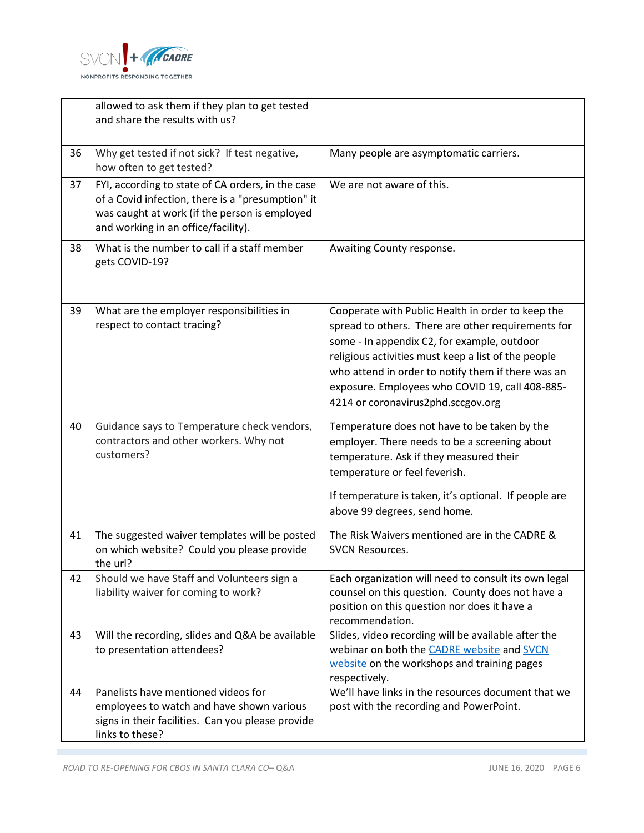

|    | allowed to ask them if they plan to get tested<br>and share the results with us?                                                                                                               |                                                                                                                                                                                                                                                                                                                                                              |
|----|------------------------------------------------------------------------------------------------------------------------------------------------------------------------------------------------|--------------------------------------------------------------------------------------------------------------------------------------------------------------------------------------------------------------------------------------------------------------------------------------------------------------------------------------------------------------|
| 36 | Why get tested if not sick? If test negative,<br>how often to get tested?                                                                                                                      | Many people are asymptomatic carriers.                                                                                                                                                                                                                                                                                                                       |
| 37 | FYI, according to state of CA orders, in the case<br>of a Covid infection, there is a "presumption" it<br>was caught at work (if the person is employed<br>and working in an office/facility). | We are not aware of this.                                                                                                                                                                                                                                                                                                                                    |
| 38 | What is the number to call if a staff member<br>gets COVID-19?                                                                                                                                 | Awaiting County response.                                                                                                                                                                                                                                                                                                                                    |
| 39 | What are the employer responsibilities in<br>respect to contact tracing?                                                                                                                       | Cooperate with Public Health in order to keep the<br>spread to others. There are other requirements for<br>some - In appendix C2, for example, outdoor<br>religious activities must keep a list of the people<br>who attend in order to notify them if there was an<br>exposure. Employees who COVID 19, call 408-885-<br>4214 or coronavirus2phd.sccgov.org |
| 40 | Guidance says to Temperature check vendors,<br>contractors and other workers. Why not<br>customers?                                                                                            | Temperature does not have to be taken by the<br>employer. There needs to be a screening about<br>temperature. Ask if they measured their<br>temperature or feel feverish.<br>If temperature is taken, it's optional. If people are<br>above 99 degrees, send home.                                                                                           |
| 41 | The suggested waiver templates will be posted<br>on which website? Could you please provide<br>the url?                                                                                        | The Risk Waivers mentioned are in the CADRE &<br><b>SVCN Resources.</b>                                                                                                                                                                                                                                                                                      |
| 42 | Should we have Staff and Volunteers sign a<br>liability waiver for coming to work?                                                                                                             | Each organization will need to consult its own legal<br>counsel on this question. County does not have a<br>position on this question nor does it have a<br>recommendation.                                                                                                                                                                                  |
| 43 | Will the recording, slides and Q&A be available<br>to presentation attendees?                                                                                                                  | Slides, video recording will be available after the<br>webinar on both the CADRE website and SVCN<br>website on the workshops and training pages<br>respectively.                                                                                                                                                                                            |
| 44 | Panelists have mentioned videos for<br>employees to watch and have shown various<br>signs in their facilities. Can you please provide<br>links to these?                                       | We'll have links in the resources document that we<br>post with the recording and PowerPoint.                                                                                                                                                                                                                                                                |